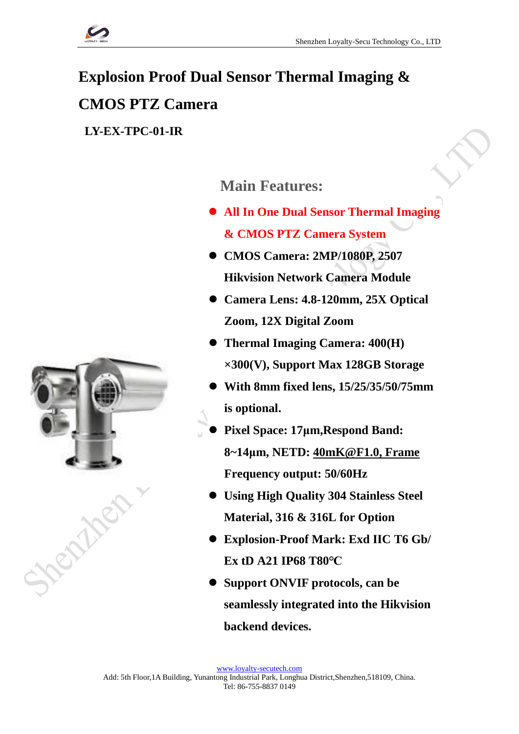

# **Explosion Proof Dual Sensor Thermal Imaging & CMOS PTZ Camera**

**LY-EX-TPC-01-IR**

# **Main Features:**

- ⚫ **All In One Dual Sensor Thermal Imaging & CMOS PTZ Camera System**
- ⚫ **CMOS Camera: 2MP/1080P, 2507 Hikvision Network Camera Module**
- ⚫ **Camera Lens: 4.8-120mm, 25X Optical Zoom, 12X Digital Zoom**
- ⚫ **Thermal Imaging Camera: 400(H) ×300(V), Support Max 128GB Storage**
- ⚫ **With 8mm fixed lens, 15/25/35/50/75mm is optional.**
- ⚫ **Pixel Space: 17μm,Respond Band: 8~14μm, NETD: [40mK@F1.0,](mailto:40mK@F1.0,%20Frame) Frame Frequency output: 50/60Hz**
- ⚫ **Using High Quality 304 Stainless Steel Material, 316 & 316L for Option**
- ⚫ **Explosion-Proof Mark: Exd ⅡC T6 Gb/ Ex tD A21 IP68 T80℃**
- ⚫ **Support ONVIF protocols, can be seamlessly integrated into the Hikvision backend devices.**

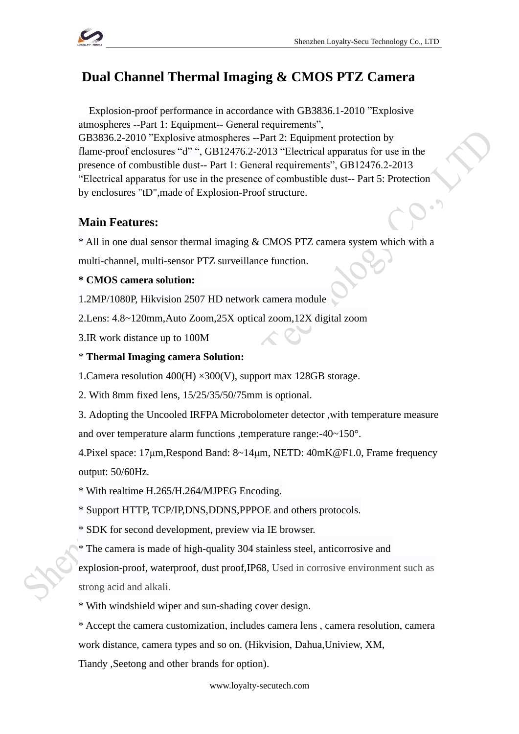

# **Dual Channel Thermal Imaging & CMOS PTZ Camera**

Explosion-proof performance in accordance with GB3836.1-2010 "Explosive atmospheres --Part 1: Equipment-- General requirements",

GB3836.2-2010 "Explosive atmospheres --Part 2: Equipment protection by flame-proof enclosures "d" ", GB12476.2-2013 "Electrical apparatus for use in the presence of combustible dust-- Part 1: General requirements", GB12476.2-2013 "Electrical apparatus for use in the presence of combustible dust-- Part 5: Protection by enclosures "tD",made of Explosion-Proof structure.

# **Main Features:**

\* All in one dual sensor thermal imaging & CMOS PTZ camera system which with a

multi-channel, multi-sensor PTZ surveillance function.

### **\* CMOS camera solution:**

1.2MP/1080P, Hikvision 2507 HD network camera module

2.Lens: 4.8~120mm,Auto Zoom,25X optical zoom,12X digital zoom

3.IR work distance up to 100M

### \* **Thermal Imaging camera Solution:**

1. Camera resolution  $400(H) \times 300(V)$ , support max 128GB storage.

2. With 8mm fixed lens, 15/25/35/50/75mm is optional.

3. Adopting the Uncooled IRFPA Microbolometer detector ,with temperature measure

and over temperature alarm functions ,temperature range:-40~150°.

4.Pixel space: 17μm,Respond Band: 8~14μm, NETD: [40mK@F1.0,](mailto:40mK@F1.0,%20Frame) Frame frequency output: 50/60Hz.

\* With realtime H.265/H.264/MJPEG Encoding.

\* Support HTTP, TCP/IP,DNS,DDNS,PPPOE and others protocols.

\* SDK for second development, preview via IE browser.

\* The camera is made of high-quality 304 stainless steel, anticorrosive and

explosion-proof, waterproof, dust proof,IP68, Used in corrosive environment such as strong acid and alkali.

\* With windshield wiper and sun-shading cover design.

\* Accept the camera customization, includes camera lens , camera resolution, camera work distance, camera types and so on. (Hikvision, Dahua,Uniview, XM,

Tiandy ,Seetong and other brands for option).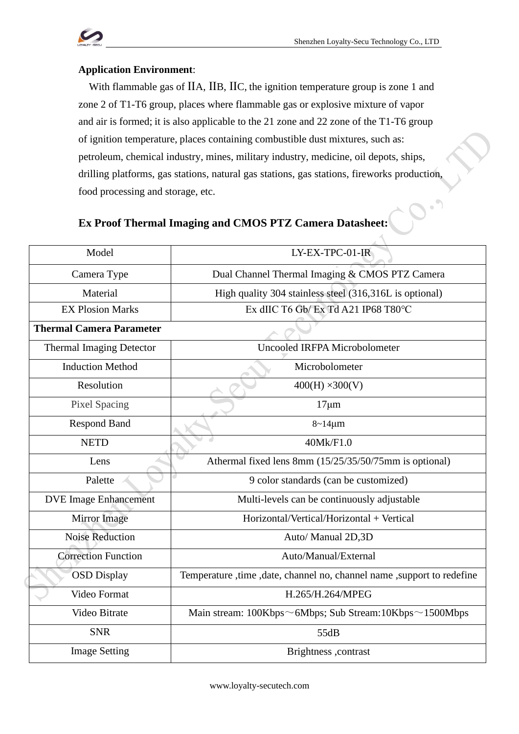$\blacksquare$  $\ddot{\phantom{a}}$ 

## **Application Environment**:

With flammable gas of IIA, IIB, IIC, the ignition temperature group is zone 1 and zone 2 of T1-T6 group, places where flammable gas or explosive mixture of vapor and air is formed; it is also applicable to the 21 zone and 22 zone of the T1-T6 group of ignition temperature, places containing combustible dust mixtures, such as: petroleum, chemical industry, mines, military industry, medicine, oil depots, ships, drilling platforms, gas stations, natural gas stations, gas stations, fireworks production, food processing and storage, etc.

# **Ex Proof Thermal Imaging and CMOS PTZ Camera Datasheet:**

| Model                           | LY-EX-TPC-01-IR                                                           |
|---------------------------------|---------------------------------------------------------------------------|
| Camera Type                     | Dual Channel Thermal Imaging & CMOS PTZ Camera                            |
| Material                        | High quality 304 stainless steel (316,316L is optional)                   |
| <b>EX Plosion Marks</b>         | Ex dIIC T6 Gb/Ex Td A21 IP68 T80°C                                        |
| <b>Thermal Camera Parameter</b> |                                                                           |
| <b>Thermal Imaging Detector</b> | <b>Uncooled IRFPA Microbolometer</b>                                      |
| <b>Induction Method</b>         | Microbolometer                                                            |
| Resolution                      | $400(H) \times 300(V)$                                                    |
| <b>Pixel Spacing</b>            | $17 \mu m$                                                                |
| <b>Respond Band</b>             | $8 - 14 \mu m$                                                            |
| <b>NETD</b>                     | 40Mk/F1.0                                                                 |
| Lens                            | Athermal fixed lens 8mm (15/25/35/50/75mm is optional)                    |
| Palette                         | 9 color standards (can be customized)                                     |
| <b>DVE Image Enhancement</b>    | Multi-levels can be continuously adjustable                               |
| Mirror Image                    | Horizontal/Vertical/Horizontal + Vertical                                 |
| <b>Noise Reduction</b>          | Auto/ Manual 2D,3D                                                        |
| <b>Correction Function</b>      | Auto/Manual/External                                                      |
| <b>OSD Display</b>              | Temperature , time , date, channel no, channel name , support to redefine |
| Video Format                    | H.265/H.264/MPEG                                                          |
| Video Bitrate                   | Main stream: $100Kbps \sim 6Mbps$ ; Sub Stream: $10Kbps \sim 1500Mbps$    |
| <b>SNR</b>                      | 55dB                                                                      |
| <b>Image Setting</b>            | Brightness , contrast                                                     |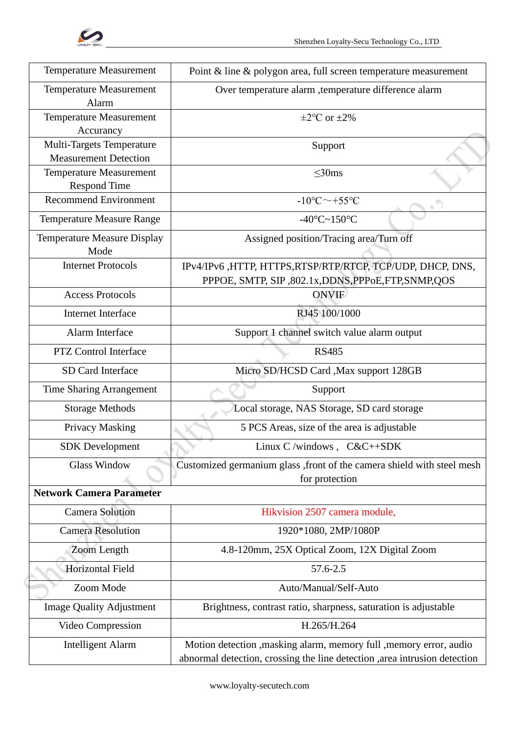

| <b>Temperature Measurement</b>                            | Point $\&$ line $\&$ polygon area, full screen temperature measurement                                                                           |
|-----------------------------------------------------------|--------------------------------------------------------------------------------------------------------------------------------------------------|
| <b>Temperature Measurement</b><br>Alarm                   | Over temperature alarm , temperature difference alarm                                                                                            |
| <b>Temperature Measurement</b><br>Accurancy               | $\pm 2$ °C or $\pm 2\%$                                                                                                                          |
| Multi-Targets Temperature<br><b>Measurement Detection</b> | Support                                                                                                                                          |
| <b>Temperature Measurement</b><br><b>Respond Time</b>     | $<$ 30ms                                                                                                                                         |
| <b>Recommend Environment</b>                              | $-10^{\circ}$ C $\sim$ +55 $^{\circ}$ C                                                                                                          |
| <b>Temperature Measure Range</b>                          | $-40^{\circ}$ C $\sim$ 150 $^{\circ}$ C                                                                                                          |
| Temperature Measure Display<br>Mode                       | Assigned position/Tracing area/Turn off                                                                                                          |
| <b>Internet Protocols</b>                                 | IPv4/IPv6, HTTP, HTTPS, RTSP/RTP/RTCP, TCP/UDP, DHCP, DNS,<br>PPPOE, SMTP, SIP, 802.1x, DDNS, PPPoE, FTP, SNMP, QOS                              |
| <b>Access Protocols</b>                                   | <b>ONVIF</b>                                                                                                                                     |
| Internet Interface                                        | RJ45 100/1000                                                                                                                                    |
| Alarm Interface                                           | Support 1 channel switch value alarm output                                                                                                      |
| <b>PTZ Control Interface</b>                              | <b>RS485</b>                                                                                                                                     |
| SD Card Interface                                         | Micro SD/HCSD Card , Max support 128GB                                                                                                           |
| <b>Time Sharing Arrangement</b>                           | Support                                                                                                                                          |
| <b>Storage Methods</b>                                    | Local storage, NAS Storage, SD card storage                                                                                                      |
| Privacy Masking                                           | 5 PCS Areas, size of the area is adjustable                                                                                                      |
| <b>SDK</b> Development                                    | Linux C /windows , $C&C++SDK$                                                                                                                    |
| <b>Glass Window</b>                                       | Customized germanium glass , front of the camera shield with steel mesh<br>for protection                                                        |
| <b>Network Camera Parameter</b>                           |                                                                                                                                                  |
| <b>Camera Solution</b>                                    | Hikvision 2507 camera module,                                                                                                                    |
| <b>Camera Resolution</b>                                  | 1920*1080, 2MP/1080P                                                                                                                             |
| Zoom Length                                               | 4.8-120mm, 25X Optical Zoom, 12X Digital Zoom                                                                                                    |
| Horizontal Field                                          | 57.6-2.5                                                                                                                                         |
| Zoom Mode                                                 | Auto/Manual/Self-Auto                                                                                                                            |
| <b>Image Quality Adjustment</b>                           | Brightness, contrast ratio, sharpness, saturation is adjustable                                                                                  |
| Video Compression                                         | H.265/H.264                                                                                                                                      |
| <b>Intelligent Alarm</b>                                  | Motion detection , masking alarm, memory full , memory error, audio<br>abnormal detection, crossing the line detection ,area intrusion detection |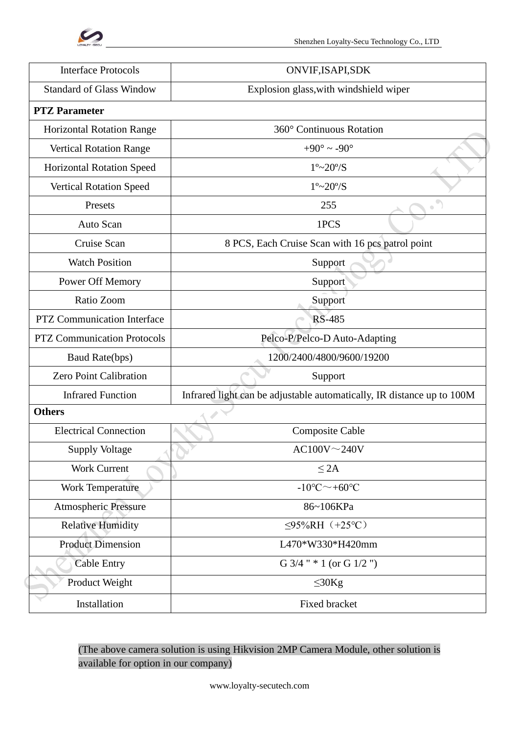

| <b>Interface Protocols</b>         | ONVIF, ISAPI, SDK                                                      |
|------------------------------------|------------------------------------------------------------------------|
| <b>Standard of Glass Window</b>    | Explosion glass, with windshield wiper                                 |
| <b>PTZ</b> Parameter               |                                                                        |
| <b>Horizontal Rotation Range</b>   | 360° Continuous Rotation                                               |
| <b>Vertical Rotation Range</b>     | +90 $^{\circ}$ ~ -90 $^{\circ}$                                        |
| <b>Horizontal Rotation Speed</b>   | $1^{\circ}$ ~20 $^{\circ}$ /S                                          |
| <b>Vertical Rotation Speed</b>     | $1^{\circ}$ ~20 $^{\circ}$ /S                                          |
| Presets                            | 255<br>$\bullet$                                                       |
| Auto Scan                          | 1PCS                                                                   |
| Cruise Scan                        | 8 PCS, Each Cruise Scan with 16 pcs patrol point                       |
| <b>Watch Position</b>              | Support                                                                |
| Power Off Memory                   | Support                                                                |
| Ratio Zoom                         | Support                                                                |
| <b>PTZ Communication Interface</b> | <b>RS-485</b>                                                          |
| <b>PTZ Communication Protocols</b> | Pelco-P/Pelco-D Auto-Adapting                                          |
| Baud Rate(bps)                     | 1200/2400/4800/9600/19200                                              |
| <b>Zero Point Calibration</b>      | Support                                                                |
| <b>Infrared Function</b>           | Infrared light can be adjustable automatically, IR distance up to 100M |
| <b>Others</b>                      |                                                                        |
| <b>Electrical Connection</b>       | Composite Cable                                                        |
| <b>Supply Voltage</b>              | $AC100V \sim 240V$                                                     |
| <b>Work Current</b>                | $\leq$ 2A                                                              |
| <b>Work Temperature</b>            | $-10^{\circ}$ C $\sim$ +60 $^{\circ}$ C                                |
| Atmospheric Pressure               | 86~106KPa                                                              |
| <b>Relative Humidity</b>           | $\leq$ 95%RH (+25°C)                                                   |
| <b>Product Dimension</b>           | L470*W330*H420mm                                                       |
| <b>Cable Entry</b>                 | G $3/4$ " * 1 (or G $1/2$ ")                                           |
| Product Weight                     | $\leq 30$ Kg                                                           |
| Installation                       | Fixed bracket                                                          |